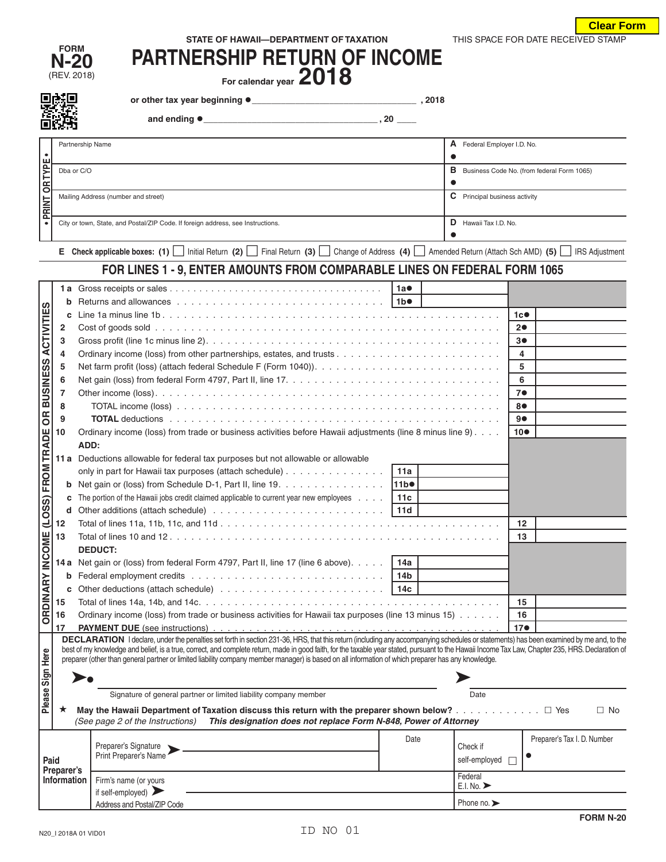| THIS SPACE FOR DATE RECEIVED STAMP<br>STATE OF HAWAII-DEPARTMENT OF TAXATION |  |
|------------------------------------------------------------------------------|--|
|------------------------------------------------------------------------------|--|

**Clear Form**

| <b>FORM</b> |
|-------------|
| N-20        |
| (REV. 2018) |

| FURM<br>$N-20$ | <b>PARTNERSHIP RETURN OF INCOME</b> |
|----------------|-------------------------------------|
| וס וחמי ווםכו  | <b>DA10</b>                         |

 $\mathcal{F}_{\text{C}}$  For calendar year  $\angle \text{U}$  10

**or other tax year beginning \_\_\_\_\_\_\_\_\_\_\_\_\_\_\_\_\_\_\_\_\_\_\_\_\_\_\_\_\_\_\_\_\_\_ , 2018**

|  | and ending $\bullet$ |  |
|--|----------------------|--|

 **and ending \_\_\_\_\_\_\_\_\_\_\_\_\_\_\_\_\_\_\_\_\_\_\_\_\_\_\_\_\_\_\_\_\_\_\_\_ , 20 \_\_\_\_**

| ----           |                                                                                 |   |                                            |  |  |  |
|----------------|---------------------------------------------------------------------------------|---|--------------------------------------------|--|--|--|
|                | Partnership Name                                                                | A | Federal Employer I.D. No.                  |  |  |  |
|                |                                                                                 |   |                                            |  |  |  |
|                | Dba or C/O                                                                      | в | Business Code No. (from federal Form 1065) |  |  |  |
| <b>OR TYPE</b> |                                                                                 |   |                                            |  |  |  |
|                | Mailing Address (number and street)                                             | C | Principal business activity                |  |  |  |
| PRINT          |                                                                                 |   |                                            |  |  |  |
|                | City or town, State, and Postal/ZIP Code. If foreign address, see Instructions. | D | Hawaii Tax I.D. No.                        |  |  |  |
|                |                                                                                 |   |                                            |  |  |  |

**<sup>E</sup>Check applicable boxes: (1)** Initial Return **(2)** Final Return **(3)** Change of Address **(4)**  Amended Return (Attach Sch AMD) **(5)** IRS Adjustment

## **FOR LINES 1 - 9, ENTER AMOUNTS FROM COMPARABLE LINES ON FEDERAL FORM 1065**

|                                         |             |                                                                                                                                                                                                                                                                                                                                                          | 1a               |  |                                 |                 |                             |           |
|-----------------------------------------|-------------|----------------------------------------------------------------------------------------------------------------------------------------------------------------------------------------------------------------------------------------------------------------------------------------------------------------------------------------------------------|------------------|--|---------------------------------|-----------------|-----------------------------|-----------|
|                                         | b           |                                                                                                                                                                                                                                                                                                                                                          |                  |  |                                 |                 |                             |           |
|                                         | c           |                                                                                                                                                                                                                                                                                                                                                          |                  |  |                                 | 1c              |                             |           |
| <b>ACTIVITIES</b>                       | 2           |                                                                                                                                                                                                                                                                                                                                                          | 20               |  |                                 |                 |                             |           |
|                                         | 3           |                                                                                                                                                                                                                                                                                                                                                          |                  |  |                                 | 30              |                             |           |
|                                         | 4           |                                                                                                                                                                                                                                                                                                                                                          |                  |  |                                 |                 |                             |           |
|                                         | 5           |                                                                                                                                                                                                                                                                                                                                                          | 5                |  |                                 |                 |                             |           |
| OR BUSINESS                             | 6           |                                                                                                                                                                                                                                                                                                                                                          |                  |  |                                 |                 |                             |           |
|                                         | 7           |                                                                                                                                                                                                                                                                                                                                                          |                  |  |                                 |                 |                             |           |
|                                         | 8           |                                                                                                                                                                                                                                                                                                                                                          | 80               |  |                                 |                 |                             |           |
|                                         | 9           |                                                                                                                                                                                                                                                                                                                                                          |                  |  |                                 | 90              |                             |           |
|                                         | 10          | Ordinary income (loss) from trade or business activities before Hawaii adjustments (line 8 minus line 9).                                                                                                                                                                                                                                                |                  |  |                                 | 10 <sub>•</sub> |                             |           |
|                                         |             | ADD:                                                                                                                                                                                                                                                                                                                                                     |                  |  |                                 |                 |                             |           |
|                                         |             | 11 a Deductions allowable for federal tax purposes but not allowable or allowable                                                                                                                                                                                                                                                                        |                  |  |                                 |                 |                             |           |
|                                         |             | only in part for Hawaii tax purposes (attach schedule)                                                                                                                                                                                                                                                                                                   | 11a              |  |                                 |                 |                             |           |
|                                         | b           | Net gain or (loss) from Schedule D-1, Part II, line 19.                                                                                                                                                                                                                                                                                                  | 11b <sup>o</sup> |  |                                 |                 |                             |           |
|                                         | c           | The portion of the Hawaii jobs credit claimed applicable to current year new employees $\ldots$   11c                                                                                                                                                                                                                                                    |                  |  |                                 |                 |                             |           |
|                                         | d           |                                                                                                                                                                                                                                                                                                                                                          |                  |  |                                 |                 |                             |           |
|                                         | 12          |                                                                                                                                                                                                                                                                                                                                                          |                  |  |                                 |                 |                             |           |
|                                         | 13          |                                                                                                                                                                                                                                                                                                                                                          | 13               |  |                                 |                 |                             |           |
|                                         |             | <b>DEDUCT:</b>                                                                                                                                                                                                                                                                                                                                           |                  |  |                                 |                 |                             |           |
|                                         |             | <b>14a</b> Net gain or (loss) from federal Form 4797, Part II, line 17 (line 6 above).  <br>14a                                                                                                                                                                                                                                                          |                  |  |                                 |                 |                             |           |
|                                         | b           | 14 <sub>b</sub>                                                                                                                                                                                                                                                                                                                                          |                  |  |                                 |                 |                             |           |
| ORDINARY INCOME (LOSS) FROM TRADE       | C           |                                                                                                                                                                                                                                                                                                                                                          |                  |  |                                 |                 |                             |           |
|                                         | 15          |                                                                                                                                                                                                                                                                                                                                                          |                  |  |                                 |                 |                             |           |
|                                         | 16          | Ordinary income (loss) from trade or business activities for Hawaii tax purposes (line 13 minus 15)                                                                                                                                                                                                                                                      |                  |  |                                 |                 |                             |           |
|                                         | 17          |                                                                                                                                                                                                                                                                                                                                                          |                  |  |                                 | 17 <sub>°</sub> |                             |           |
|                                         |             | DECLARATION I declare, under the penalties set forth in section 231-36, HRS, that this return (including any accompanying schedules or statements) has been examined by me and, to the                                                                                                                                                                   |                  |  |                                 |                 |                             |           |
|                                         |             | best of my knowledge and belief, is a true, correct, and complete return, made in good faith, for the taxable year stated, pursuant to the Hawaii Income Tax Law, Chapter 235, HRS. Declaration of<br>preparer (other than general partner or limited liability company member manager) is based on all information of which preparer has any knowledge. |                  |  |                                 |                 |                             |           |
| Please Sign Here                        |             |                                                                                                                                                                                                                                                                                                                                                          |                  |  |                                 |                 |                             |           |
|                                         |             |                                                                                                                                                                                                                                                                                                                                                          |                  |  |                                 |                 |                             |           |
|                                         |             | Signature of general partner or limited liability company member                                                                                                                                                                                                                                                                                         |                  |  |                                 |                 |                             |           |
|                                         | $\star$     |                                                                                                                                                                                                                                                                                                                                                          |                  |  |                                 |                 |                             | $\Box$ No |
|                                         |             | (See page 2 of the Instructions)<br>This designation does not replace Form N-848, Power of Attorney                                                                                                                                                                                                                                                      |                  |  |                                 |                 |                             |           |
|                                         |             |                                                                                                                                                                                                                                                                                                                                                          | Date             |  |                                 |                 | Preparer's Tax I. D. Number |           |
|                                         |             | Preparer's Signature<br>Print Preparer's Name                                                                                                                                                                                                                                                                                                            |                  |  | Check if                        |                 |                             |           |
| Paid                                    | Preparer's  |                                                                                                                                                                                                                                                                                                                                                          |                  |  | self-employed                   |                 |                             |           |
|                                         | Information | Firm's name (or yours                                                                                                                                                                                                                                                                                                                                    |                  |  | Federal<br>E.I. No.             |                 |                             |           |
| if self-employed) $\blacktriangleright$ |             |                                                                                                                                                                                                                                                                                                                                                          |                  |  |                                 |                 |                             |           |
|                                         |             | Address and Postal/ZIP Code                                                                                                                                                                                                                                                                                                                              |                  |  | Phone no. $\blacktriangleright$ |                 |                             |           |